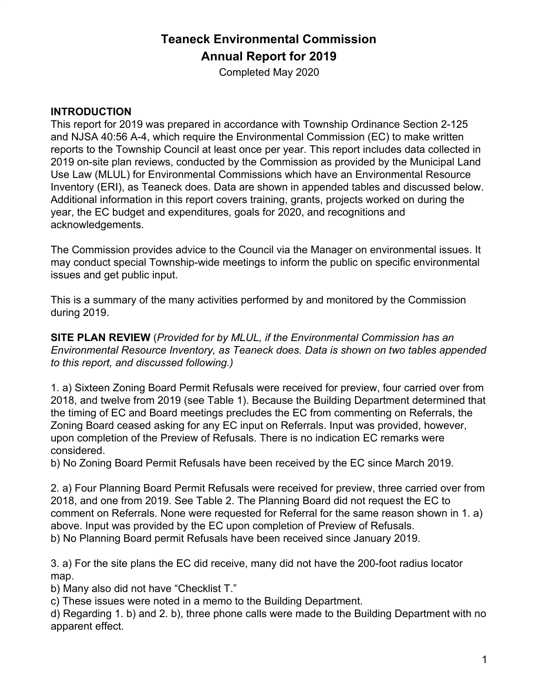# **Teaneck Environmental Commission Annual Report for 2019**

Completed May 2020

#### **INTRODUCTION**

This report for 2019 was prepared in accordance with Township Ordinance Section 2-125 and NJSA 40:56 A-4, which require the Environmental Commission (EC) to make written reports to the Township Council at least once per year. This report includes data collected in 2019 on-site plan reviews, conducted by the Commission as provided by the Municipal Land Use Law (MLUL) for Environmental Commissions which have an Environmental Resource Inventory (ERI), as Teaneck does. Data are shown in appended tables and discussed below. Additional information in this report covers training, grants, projects worked on during the year, the EC budget and expenditures, goals for 2020, and recognitions and acknowledgements.

The Commission provides advice to the Council via the Manager on environmental issues. It may conduct special Township-wide meetings to inform the public on specific environmental issues and get public input.

This is a summary of the many activities performed by and monitored by the Commission during 2019.

**SITE PLAN REVIEW** (*Provided for by MLUL, if the Environmental Commission has an Environmental Resource Inventory, as Teaneck does. Data is shown on two tables appended to this report, and discussed following.)*

1. a) Sixteen Zoning Board Permit Refusals were received for preview, four carried over from 2018, and twelve from 2019 (see Table 1). Because the Building Department determined that the timing of EC and Board meetings precludes the EC from commenting on Referrals, the Zoning Board ceased asking for any EC input on Referrals. Input was provided, however, upon completion of the Preview of Refusals. There is no indication EC remarks were considered.

b) No Zoning Board Permit Refusals have been received by the EC since March 2019.

2. a) Four Planning Board Permit Refusals were received for preview, three carried over from 2018, and one from 2019. See Table 2. The Planning Board did not request the EC to comment on Referrals. None were requested for Referral for the same reason shown in 1. a) above. Input was provided by the EC upon completion of Preview of Refusals. b) No Planning Board permit Refusals have been received since January 2019.

3. a) For the site plans the EC did receive, many did not have the 200-foot radius locator map.

b) Many also did not have "Checklist T."

c) These issues were noted in a memo to the Building Department.

d) Regarding 1. b) and 2. b), three phone calls were made to the Building Department with no apparent effect.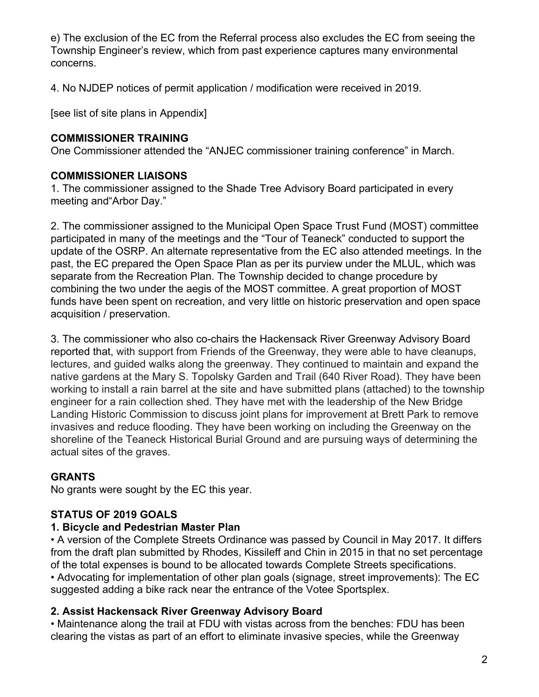e) The exclusion of the EC from the Referral process also excludes the EC from seeing the Township Engineer's review, which from past experience captures many environmental concerns.

4. No NJDEP notices of permit application / modification were received in 2019.

[see list of site plans in Appendix]

#### **COMMISSIONER TRAINING**

One Commissioner attended the "ANJEC commissioner training conference" in March.

## **COMMISSIONER LIAISONS**

1. The commissioner assigned to the Shade Tree Advisory Board participated in every meeting and"Arbor Day."

2. The commissioner assigned to the Municipal Open Space Trust Fund (MOST) committee participated in many of the meetings and the "Tour of Teaneck" conducted to support the update of the OSRP. An alternate representative from the EC also attended meetings. In the past, the EC prepared the Open Space Plan as per its purview under the MLUL, which was separate from the Recreation Plan. The Township decided to change procedure by combining the two under the aegis of the MOST committee. A great proportion of MOST funds have been spent on recreation, and very little on historic preservation and open space acquisition / preservation.

3. The commissioner who also co-chairs the Hackensack River Greenway Advisory Board reported that, with support from Friends of the Greenway, they were able to have cleanups, lectures, and guided walks along the greenway. They continued to maintain and expand the native gardens at the Mary S. Topolsky Garden and Trail (640 River Road). They have been working to install a rain barrel at the site and have submitted plans (attached) to the township engineer for a rain collection shed. They have met with the leadership of the New Bridge Landing Historic Commission to discuss joint plans for improvement at Brett Park to remove invasives and reduce flooding. They have been working on including the Greenway on the shoreline of the Teaneck Historical Burial Ground and are pursuing ways of determining the actual sites of the graves.

## **GRANTS**

No grants were sought by the EC this year.

# **STATUS OF 2019 GOALS**

## **1. Bicycle and Pedestrian Master Plan**

• A version of the Complete Streets Ordinance was passed by Council in May 2017. It differs from the draft plan submitted by Rhodes, Kissileff and Chin in 2015 in that no set percentage of the total expenses is bound to be allocated towards Complete Streets specifications. • Advocating for implementation of other plan goals (signage, street improvements): The EC suggested adding a bike rack near the entrance of the Votee Sportsplex.

## **2. Assist Hackensack River Greenway Advisory Board**

• Maintenance along the trail at FDU with vistas across from the benches: FDU has been clearing the vistas as part of an effort to eliminate invasive species, while the Greenway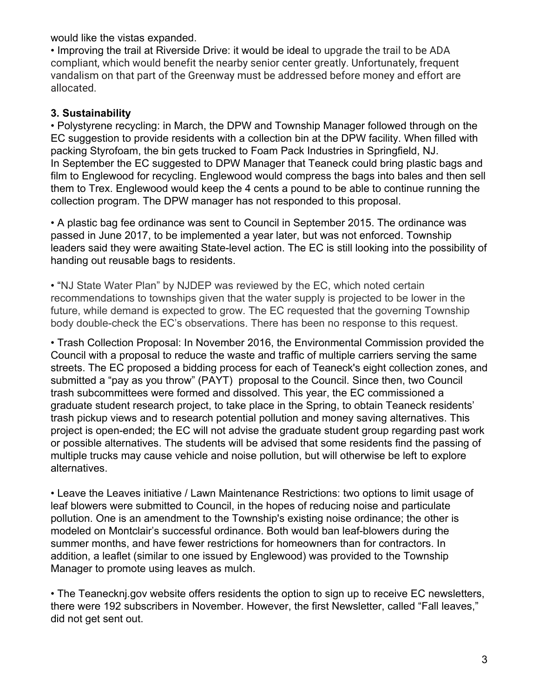would like the vistas expanded.

• Improving the trail at Riverside Drive: it would be ideal to upgrade the trail to be ADA compliant, which would benefit the nearby senior center greatly. Unfortunately, frequent vandalism on that part of the Greenway must be addressed before money and effort are allocated.

#### **3. Sustainability**

• Polystyrene recycling: in March, the DPW and Township Manager followed through on the EC suggestion to provide residents with a collection bin at the DPW facility. When filled with packing Styrofoam, the bin gets trucked to Foam Pack Industries in Springfield, NJ. In September the EC suggested to DPW Manager that Teaneck could bring plastic bags and film to Englewood for recycling. Englewood would compress the bags into bales and then sell them to Trex. Englewood would keep the 4 cents a pound to be able to continue running the collection program. The DPW manager has not responded to this proposal.

• A plastic bag fee ordinance was sent to Council in September 2015. The ordinance was passed in June 2017, to be implemented a year later, but was not enforced. Township leaders said they were awaiting State-level action. The EC is still looking into the possibility of handing out reusable bags to residents.

• "NJ State Water Plan" by NJDEP was reviewed by the EC, which noted certain recommendations to townships given that the water supply is projected to be lower in the future, while demand is expected to grow. The EC requested that the governing Township body double-check the EC's observations. There has been no response to this request.

• Trash Collection Proposal: In November 2016, the Environmental Commission provided the Council with a proposal to reduce the waste and traffic of multiple carriers serving the same streets. The EC proposed a bidding process for each of Teaneck's eight collection zones, and submitted a "pay as you throw" (PAYT) proposal to the Council. Since then, two Council trash subcommittees were formed and dissolved. This year, the EC commissioned a graduate student research project, to take place in the Spring, to obtain Teaneck residents' trash pickup views and to research potential pollution and money saving alternatives. This project is open-ended; the EC will not advise the graduate student group regarding past work or possible alternatives. The students will be advised that some residents find the passing of multiple trucks may cause vehicle and noise pollution, but will otherwise be left to explore alternatives.

• Leave the Leaves initiative / Lawn Maintenance Restrictions: two options to limit usage of leaf blowers were submitted to Council, in the hopes of reducing noise and particulate pollution. One is an amendment to the Township's existing noise ordinance; the other is modeled on Montclair's successful ordinance. Both would ban leaf-blowers during the summer months, and have fewer restrictions for homeowners than for contractors. In addition, a leaflet (similar to one issued by Englewood) was provided to the Township Manager to promote using leaves as mulch.

• The Teanecknj.gov website offers residents the option to sign up to receive EC newsletters, there were 192 subscribers in November. However, the first Newsletter, called "Fall leaves," did not get sent out.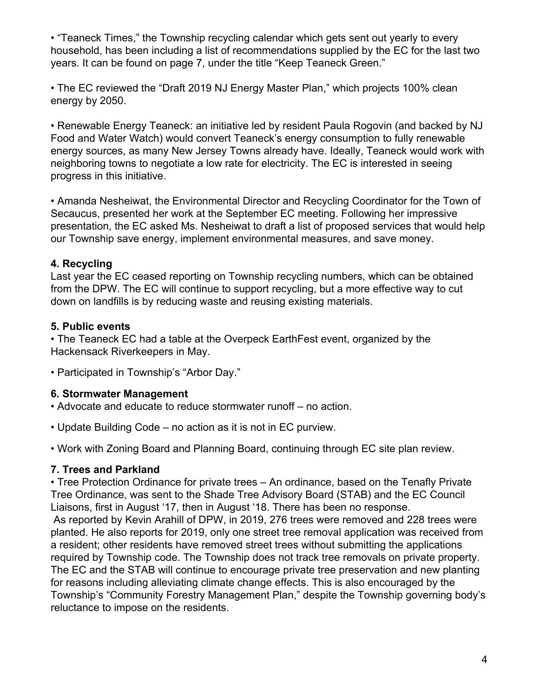• "Teaneck Times," the Township recycling calendar which gets sent out yearly to every household, has been including a list of recommendations supplied by the EC for the last two years. It can be found on page 7, under the title "Keep Teaneck Green."

• The EC reviewed the "Draft 2019 NJ Energy Master Plan," which projects 100% clean energy by 2050.

• Renewable Energy Teaneck: an initiative led by resident Paula Rogovin (and backed by NJ Food and Water Watch) would convert Teaneck's energy consumption to fully renewable energy sources, as many New Jersey Towns already have. Ideally, Teaneck would work with neighboring towns to negotiate a low rate for electricity. The EC is interested in seeing progress in this initiative.

• Amanda Nesheiwat, the Environmental Director and Recycling Coordinator for the Town of Secaucus, presented her work at the September EC meeting. Following her impressive presentation, the EC asked Ms. Nesheiwat to draft a list of proposed services that would help our Township save energy, implement environmental measures, and save money.

#### **4. Recycling**

Last year the EC ceased reporting on Township recycling numbers, which can be obtained from the DPW. The EC will continue to support recycling, but a more effective way to cut down on landfills is by reducing waste and reusing existing materials.

## **5. Public events**

• The Teaneck EC had a table at the Overpeck EarthFest event, organized by the Hackensack Riverkeepers in May.

• Participated in Township's "Arbor Day."

## **6. Stormwater Management**

- Advocate and educate to reduce stormwater runoff no action.
- Update Building Code no action as it is not in EC purview.
- Work with Zoning Board and Planning Board, continuing through EC site plan review.

## **7. Trees and Parkland**

• Tree Protection Ordinance for private trees – An ordinance, based on the Tenafly Private Tree Ordinance, was sent to the Shade Tree Advisory Board (STAB) and the EC Council Liaisons, first in August '17, then in August '18. There has been no response.

 As reported by Kevin Arahill of DPW, in 2019, 276 trees were removed and 228 trees were planted. He also reports for 2019, only one street tree removal application was received from a resident; other residents have removed street trees without submitting the applications required by Township code. The Township does not track tree removals on private property. The EC and the STAB will continue to encourage private tree preservation and new planting for reasons including alleviating climate change effects. This is also encouraged by the Township's "Community Forestry Management Plan," despite the Township governing body's reluctance to impose on the residents.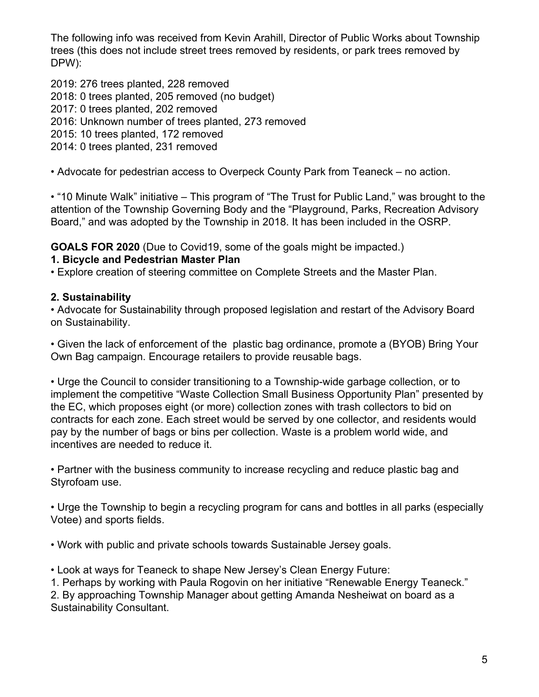The following info was received from Kevin Arahill, Director of Public Works about Township trees (this does not include street trees removed by residents, or park trees removed by DPW):

2019: 276 trees planted, 228 removed 2018: 0 trees planted, 205 removed (no budget) 2017: 0 trees planted, 202 removed 2016: Unknown number of trees planted, 273 removed 2015: 10 trees planted, 172 removed 2014: 0 trees planted, 231 removed

• Advocate for pedestrian access to Overpeck County Park from Teaneck – no action.

• "10 Minute Walk" initiative – This program of "The Trust for Public Land," was brought to the attention of the Township Governing Body and the "Playground, Parks, Recreation Advisory Board," and was adopted by the Township in 2018. It has been included in the OSRP.

**GOALS FOR 2020** (Due to Covid19, some of the goals might be impacted.)

## **1. Bicycle and Pedestrian Master Plan**

• Explore creation of steering committee on Complete Streets and the Master Plan.

# **2. Sustainability**

• Advocate for Sustainability through proposed legislation and restart of the Advisory Board on Sustainability.

• Given the lack of enforcement of the plastic bag ordinance, promote a (BYOB) Bring Your Own Bag campaign. Encourage retailers to provide reusable bags.

• Urge the Council to consider transitioning to a Township-wide garbage collection, or to implement the competitive "Waste Collection Small Business Opportunity Plan" presented by the EC, which proposes eight (or more) collection zones with trash collectors to bid on contracts for each zone. Each street would be served by one collector, and residents would pay by the number of bags or bins per collection. Waste is a problem world wide, and incentives are needed to reduce it.

• Partner with the business community to increase recycling and reduce plastic bag and Styrofoam use.

• Urge the Township to begin a recycling program for cans and bottles in all parks (especially Votee) and sports fields.

• Work with public and private schools towards Sustainable Jersey goals.

• Look at ways for Teaneck to shape New Jersey's Clean Energy Future:

1. Perhaps by working with Paula Rogovin on her initiative "Renewable Energy Teaneck."

2. By approaching Township Manager about getting Amanda Nesheiwat on board as a Sustainability Consultant.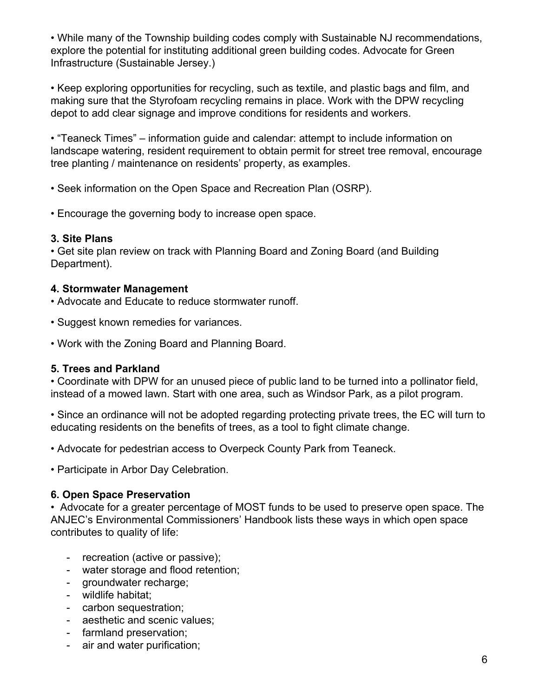• While many of the Township building codes comply with Sustainable NJ recommendations, explore the potential for instituting additional green building codes. Advocate for Green Infrastructure (Sustainable Jersey.)

• Keep exploring opportunities for recycling, such as textile, and plastic bags and film, and making sure that the Styrofoam recycling remains in place. Work with the DPW recycling depot to add clear signage and improve conditions for residents and workers.

• "Teaneck Times" – information guide and calendar: attempt to include information on landscape watering, resident requirement to obtain permit for street tree removal, encourage tree planting / maintenance on residents' property, as examples.

• Seek information on the Open Space and Recreation Plan (OSRP).

• Encourage the governing body to increase open space.

#### **3. Site Plans**

• Get site plan review on track with Planning Board and Zoning Board (and Building Department).

#### **4. Stormwater Management**

• Advocate and Educate to reduce stormwater runoff.

- Suggest known remedies for variances.
- Work with the Zoning Board and Planning Board.

## **5. Trees and Parkland**

• Coordinate with DPW for an unused piece of public land to be turned into a pollinator field, instead of a mowed lawn. Start with one area, such as Windsor Park, as a pilot program.

• Since an ordinance will not be adopted regarding protecting private trees, the EC will turn to educating residents on the benefits of trees, as a tool to fight climate change.

• Advocate for pedestrian access to Overpeck County Park from Teaneck.

• Participate in Arbor Day Celebration.

## **6. Open Space Preservation**

• Advocate for a greater percentage of MOST funds to be used to preserve open space. The ANJEC's Environmental Commissioners' Handbook lists these ways in which open space contributes to quality of life:

- recreation (active or passive);
- water storage and flood retention;
- groundwater recharge;
- wildlife habitat;
- carbon sequestration;
- aesthetic and scenic values;
- farmland preservation;
- air and water purification;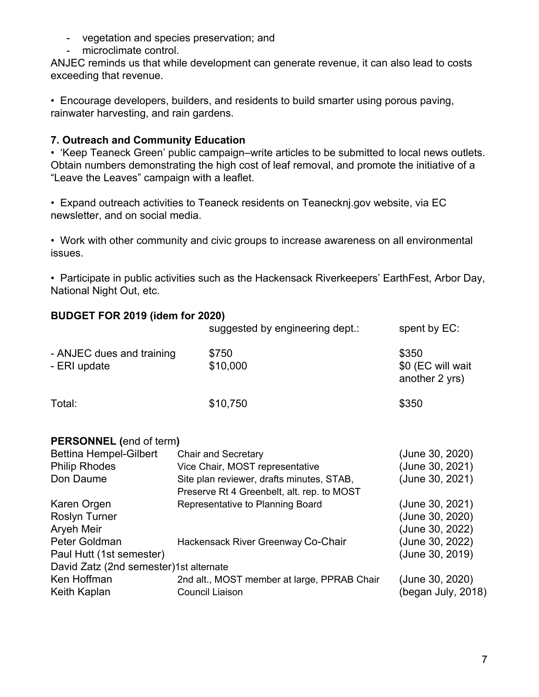- vegetation and species preservation; and
- microclimate control.

ANJEC reminds us that while development can generate revenue, it can also lead to costs exceeding that revenue.

• Encourage developers, builders, and residents to build smarter using porous paving, rainwater harvesting, and rain gardens.

#### **7. Outreach and Community Education**

• 'Keep Teaneck Green' public campaign–write articles to be submitted to local news outlets. Obtain numbers demonstrating the high cost of leaf removal, and promote the initiative of a "Leave the Leaves" campaign with a leaflet.

• Expand outreach activities to Teaneck residents on Teanecknj.gov website, via EC newsletter, and on social media.

• Work with other community and civic groups to increase awareness on all environmental issues.

• Participate in public activities such as the Hackensack Riverkeepers' EarthFest, Arbor Day, National Night Out, etc.

#### **BUDGET FOR 2019 (idem for 2020)**

|                                           | suggested by engineering dept.:                                                         | spent by EC:                                 |
|-------------------------------------------|-----------------------------------------------------------------------------------------|----------------------------------------------|
| - ANJEC dues and training<br>- ERI update | \$750<br>\$10,000                                                                       | \$350<br>\$0 (EC will wait<br>another 2 yrs) |
| Total:                                    | \$10,750                                                                                | \$350                                        |
| <b>PERSONNEL</b> (end of term)            |                                                                                         |                                              |
| <b>Bettina Hempel-Gilbert</b>             | <b>Chair and Secretary</b>                                                              | (June 30, 2020)                              |
| <b>Philip Rhodes</b>                      | Vice Chair, MOST representative                                                         | (June 30, 2021)                              |
| Don Daume                                 | Site plan reviewer, drafts minutes, STAB,<br>Preserve Rt 4 Greenbelt, alt. rep. to MOST | (June 30, 2021)                              |
| Karen Orgen                               | Representative to Planning Board                                                        | (June 30, 2021)                              |
| <b>Roslyn Turner</b>                      |                                                                                         | (June 30, 2020)                              |
| Aryeh Meir                                |                                                                                         | (June 30, 2022)                              |
| Peter Goldman                             | Hackensack River Greenway Co-Chair                                                      | (June 30, 2022)                              |
| Paul Hutt (1st semester)                  |                                                                                         | (June 30, 2019)                              |
| David Zatz (2nd semester) 1st alternate   |                                                                                         |                                              |
|                                           |                                                                                         |                                              |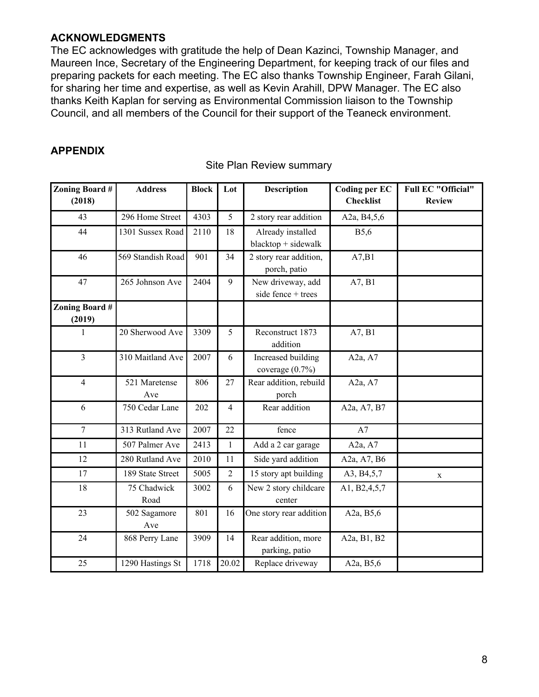#### **ACKNOWLEDGMENTS**

The EC acknowledges with gratitude the help of Dean Kazinci, Township Manager, and Maureen Ince, Secretary of the Engineering Department, for keeping track of our files and preparing packets for each meeting. The EC also thanks Township Engineer, Farah Gilani, for sharing her time and expertise, as well as Kevin Arahill, DPW Manager. The EC also thanks Keith Kaplan for serving as Environmental Commission liaison to the Township Council, and all members of the Council for their support of the Teaneck environment.

#### **APPENDIX**

| Zoning Board #<br>(2018) | <b>Address</b>       | <b>Block</b> | Lot            | <b>Description</b>                         | <b>Coding per EC</b><br><b>Checklist</b> | <b>Full EC "Official"</b><br><b>Review</b> |
|--------------------------|----------------------|--------------|----------------|--------------------------------------------|------------------------------------------|--------------------------------------------|
| 43                       | 296 Home Street      | 4303         | 5              | 2 story rear addition                      | A2a, B4,5,6                              |                                            |
| 44                       | 1301 Sussex Road     | 2110         | 18             | Already installed<br>$blacktop + sidewalk$ | <b>B5,6</b>                              |                                            |
| 46                       | 569 Standish Road    | 901          | 34             | 2 story rear addition,<br>porch, patio     | A7,B1                                    |                                            |
| 47                       | 265 Johnson Ave      | 2404         | 9              | New driveway, add<br>side fence + trees    | A7, B1                                   |                                            |
| Zoning Board #<br>(2019) |                      |              |                |                                            |                                          |                                            |
| 1                        | 20 Sherwood Ave      | 3309         | 5              | Reconstruct 1873<br>addition               | A7, B1                                   |                                            |
| $\overline{3}$           | 310 Maitland Ave     | 2007         | 6              | Increased building<br>coverage $(0.7\%)$   | A2a, A7                                  |                                            |
| $\overline{4}$           | 521 Maretense<br>Ave | 806          | 27             | Rear addition, rebuild<br>porch            | A <sub>2a</sub> , A <sub>7</sub>         |                                            |
| 6                        | 750 Cedar Lane       | 202          | $\overline{4}$ | Rear addition                              | A2a, A7, B7                              |                                            |
| $\overline{7}$           | 313 Rutland Ave      | 2007         | 22             | fence                                      | A7                                       |                                            |
| 11                       | 507 Palmer Ave       | 2413         | $\mathbf{1}$   | Add a 2 car garage                         | A2a, A7                                  |                                            |
| 12                       | 280 Rutland Ave      | 2010         | 11             | Side yard addition                         | A2a, A7, B6                              |                                            |
| 17                       | 189 State Street     | 5005         | $\overline{2}$ | 15 story apt building                      | A3, B4,5,7                               | X                                          |
| 18                       | 75 Chadwick<br>Road  | 3002         | 6              | New 2 story childcare<br>center            | A1, B2, 4, 5, 7                          |                                            |
| 23                       | 502 Sagamore<br>Ave  | 801          | 16             | One story rear addition                    | A2a, B5,6                                |                                            |
| 24                       | 868 Perry Lane       | 3909         | 14             | Rear addition, more<br>parking, patio      | A2a, B1, B2                              |                                            |
| 25                       | 1290 Hastings St     | 1718         | 20.02          | Replace driveway                           | A2a, B5,6                                |                                            |

Site Plan Review summary